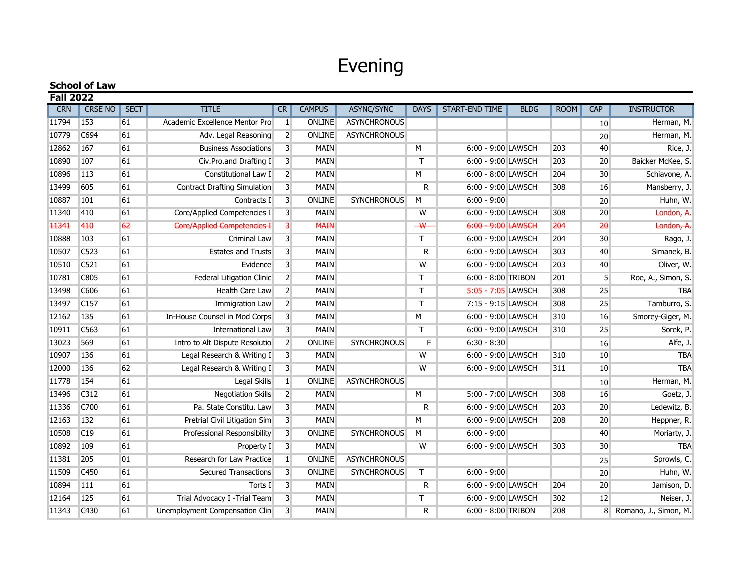## Evening

| <b>School of Law</b> |                  |             |                                     |                         |               |                     |                         |                       |             |             |                 |                         |
|----------------------|------------------|-------------|-------------------------------------|-------------------------|---------------|---------------------|-------------------------|-----------------------|-------------|-------------|-----------------|-------------------------|
| <b>Fall 2022</b>     |                  |             |                                     |                         |               |                     |                         |                       |             |             |                 |                         |
| <b>CRN</b>           | <b>CRSE NO</b>   | <b>SECT</b> | <b>TITLE</b>                        | <b>CR</b>               | <b>CAMPUS</b> | ASYNC/SYNC          | <b>DAYS</b>             | <b>START-END TIME</b> | <b>BLDG</b> | <b>ROOM</b> | CAP             | <b>INSTRUCTOR</b>       |
| 11794                | 153              | 61          | Academic Excellence Mentor Pro      | $\vert$ 1               | <b>ONLINE</b> | <b>ASYNCHRONOUS</b> |                         |                       |             |             | 10              | Herman, M.              |
| 10779                | C694             | 61          | Adv. Legal Reasoning                | $\overline{2}$          | <b>ONLINE</b> | <b>ASYNCHRONOUS</b> |                         |                       |             |             | 20              | Herman, M.              |
| 12862                | 167              | 61          | <b>Business Associations</b>        | 3 <sup>1</sup>          | <b>MAIN</b>   |                     | M                       | 6:00 - 9:00 LAWSCH    |             | 203         | 40              | Rice, J.                |
| 10890                | 107              | 61          | Civ.Pro.and Drafting I              | $\overline{3}$          | <b>MAIN</b>   |                     | $\mathsf{T}$            | 6:00 - 9:00 LAWSCH    |             | 203         | 20              | Baicker McKee, S.       |
| 10896                | 113              | 61          | Constitutional Law I                | 2 <sup>1</sup>          | <b>MAIN</b>   |                     | M                       | 6:00 - 8:00 LAWSCH    |             | 204         | 30 <sup>°</sup> | Schiavone, A.           |
| 13499                | 605              | 61          | <b>Contract Drafting Simulation</b> | $\overline{3}$          | <b>MAIN</b>   |                     | R                       | 6:00 - 9:00 LAWSCH    |             | 308         | 16              | Mansberry, J.           |
| 10887                | 101              | 61          | Contracts I                         | $\overline{3}$          | <b>ONLINE</b> | <b>SYNCHRONOUS</b>  | M                       | $6:00 - 9:00$         |             |             | 20              | Huhn, W.                |
| 11340                | 410              | 61          | Core/Applied Competencies I         | $\overline{\mathbf{3}}$ | <b>MAIN</b>   |                     | W                       | 6:00 - 9:00 LAWSCH    |             | 308         | 20              | London, A.              |
| 11341                | 410              | 62          | Core/Applied Competencies I         | 3                       | <b>MAIN</b>   |                     | $\overline{\mathsf{w}}$ | 6:00 - 9:00 LAWSCH    |             | 204         | 20              | London, A.              |
| 10888                | 103              | 61          | Criminal Law                        | $\overline{3}$          | <b>MAIN</b>   |                     | T.                      | 6:00 - 9:00 LAWSCH    |             | 204         | 30 <sup>°</sup> | Rago, J.                |
| 10507                | C523             | 61          | <b>Estates and Trusts</b>           | $\overline{3}$          | <b>MAIN</b>   |                     | R                       | 6:00 - 9:00 LAWSCH    |             | 303         | 40              | Simanek, B.             |
| 10510                | C521             | 61          | Evidence                            | $\overline{3}$          | <b>MAIN</b>   |                     | W                       | 6:00 - 9:00 LAWSCH    |             | 203         | 40              | Oliver, W.              |
| 10781                | C805             | 61          | Federal Litigation Clinic           | 2 <sup>1</sup>          | <b>MAIN</b>   |                     | T                       | 6:00 - 8:00 TRIBON    |             | 201         | 5 <sup>1</sup>  | Roe, A., Simon, S.      |
| 13498                | C606             | 61          | Health Care Law                     | 2 <sup>1</sup>          | <b>MAIN</b>   |                     | $\mathsf{T}$            | 5:05 - 7:05 LAWSCH    |             | 308         | 25              | <b>TBA</b>              |
| 13497                | C <sub>157</sub> | 61          | Immigration Law                     | 2 <sup>1</sup>          | <b>MAIN</b>   |                     | T                       | 7:15 - 9:15 LAWSCH    |             | 308         | 25              | Tamburro, S.            |
| 12162                | 135              | 61          | In-House Counsel in Mod Corps       | $\overline{3}$          | <b>MAIN</b>   |                     | М                       | 6:00 - 9:00 LAWSCH    |             | 310         | 16              | Smorey-Giger, M.        |
| 10911                | C563             | 61          | International Law                   | 3 <sup>1</sup>          | <b>MAIN</b>   |                     | $\mathsf{T}$            | 6:00 - 9:00 LAWSCH    |             | 310         | 25              | Sorek, P.               |
| 13023                | 569              | 61          | Intro to Alt Dispute Resolutio      | 2 <sup>1</sup>          | <b>ONLINE</b> | <b>SYNCHRONOUS</b>  | F                       | $6:30 - 8:30$         |             |             | 16              | Alfe, J.                |
| 10907                | 136              | 61          | Legal Research & Writing I          | $\overline{3}$          | <b>MAIN</b>   |                     | W                       | 6:00 - 9:00 LAWSCH    |             | 310         | 10              | <b>TBA</b>              |
| 12000                | 136              | 62          | Legal Research & Writing I          | $\overline{3}$          | <b>MAIN</b>   |                     | W                       | 6:00 - 9:00 LAWSCH    |             | 311         | 10              | <b>TBA</b>              |
| 11778                | 154              | 61          | Legal Skills                        | $\vert$ 1               | ONLINE        | <b>ASYNCHRONOUS</b> |                         |                       |             |             | 10              | Herman, M.              |
| 13496                | C312             | 61          | <b>Negotiation Skills</b>           | $\overline{2}$          | <b>MAIN</b>   |                     | M                       | 5:00 - 7:00 LAWSCH    |             | 308         | 16              | Goetz, J.               |
| 11336                | C700             | 61          | Pa. State Constitu. Law             | $\overline{3}$          | <b>MAIN</b>   |                     | R                       | 6:00 - 9:00 LAWSCH    |             | 203         | 20              | Ledewitz, B.            |
| 12163                | 132              | 61          | Pretrial Civil Litigation Sim       | $\overline{3}$          | <b>MAIN</b>   |                     | M                       | 6:00 - 9:00 LAWSCH    |             | 208         | 20              | Heppner, R.             |
| 10508                | C19              | 61          | Professional Responsibility         | $\overline{3}$          | ONLINE        | <b>SYNCHRONOUS</b>  | M                       | $6:00 - 9:00$         |             |             | 40              | Moriarty, J.            |
| 10892                | 109              | 61          | Property I                          | $\overline{3}$          | <b>MAIN</b>   |                     | W                       | 6:00 - 9:00 LAWSCH    |             | 303         | 30 <sup>°</sup> | <b>TBA</b>              |
| 11381                | 205              | 01          | Research for Law Practice           | 1 <sup>1</sup>          | <b>ONLINE</b> | <b>ASYNCHRONOUS</b> |                         |                       |             |             | 25              | Sprowls, C.             |
| 11509                | C <sub>450</sub> | 61          | <b>Secured Transactions</b>         | 3 <sup>1</sup>          | <b>ONLINE</b> | SYNCHRONOUS         | T.                      | $6:00 - 9:00$         |             |             | 20              | Huhn, W.                |
| 10894                | 111              | 61          | Torts I                             | $\overline{\mathbf{3}}$ | <b>MAIN</b>   |                     | R                       | 6:00 - 9:00 LAWSCH    |             | 204         | 20              | Jamison, D.             |
| 12164                | 125              | 61          | Trial Advocacy I - Trial Team       | $\overline{3}$          | <b>MAIN</b>   |                     | T                       | 6:00 - 9:00 LAWSCH    |             | 302         | 12              | Neiser, J.              |
| 11343                | C <sub>430</sub> | 61          | Unemployment Compensation Clin      | $\overline{3}$          | <b>MAIN</b>   |                     | R                       | 6:00 - 8:00 TRIBON    |             | 208         |                 | 8 Romano, J., Simon, M. |